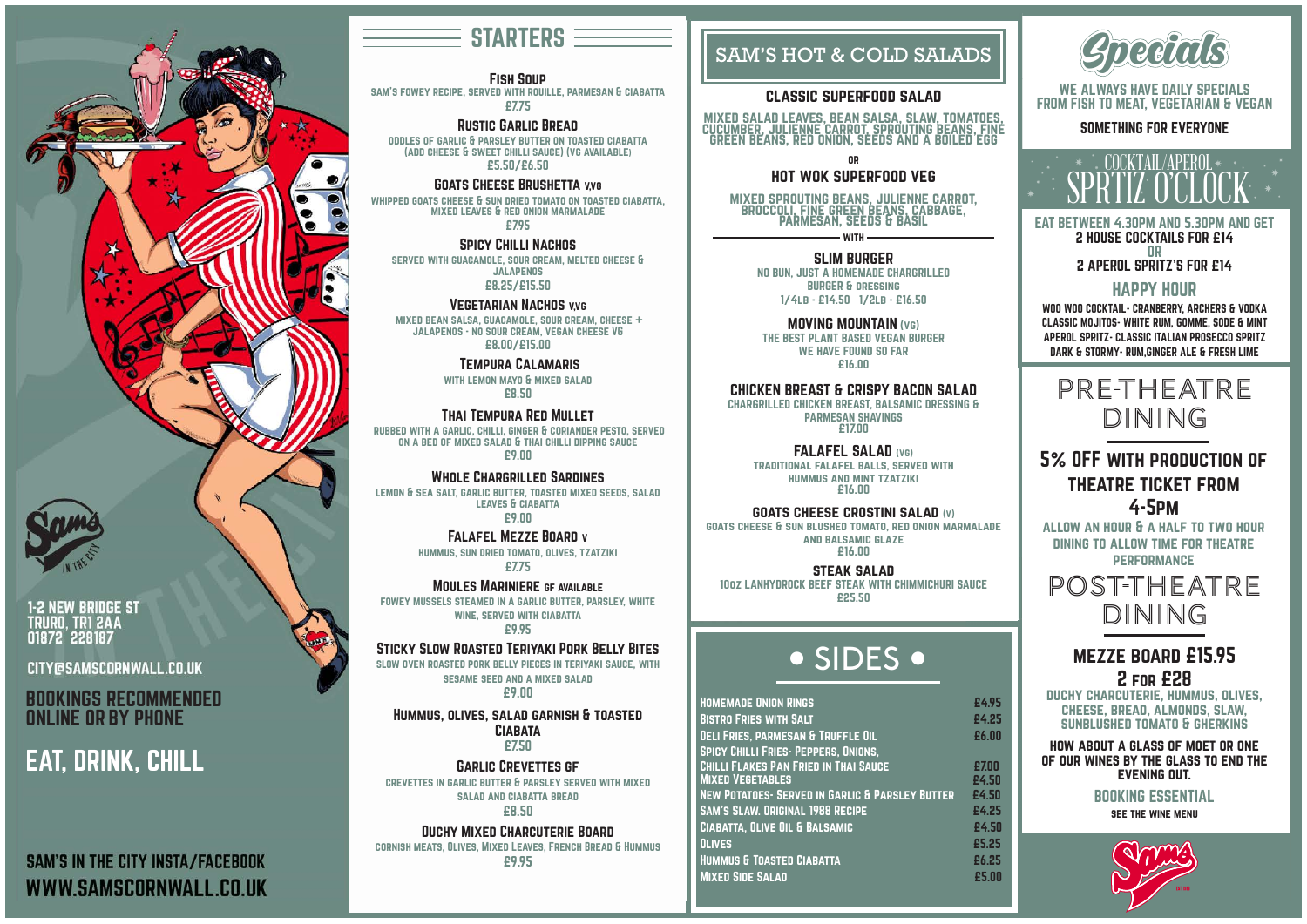

**1-2 NEW BRIDGE ST** TRURO, TRI 2AA 01872 228187

**CITY@SAMSCORNWALL.CO.UK** 

#### Fish Soup

sam's fowey recipe, served with rouille, parmesan & ciabatta £7.75

#### Rustic Garlic Bread

oddles of garlic & parsley butter on toasted ciabatta (add cheese & sweet chilli sauce) (vg available) £5.50/£6.50

#### GOATS CHEESE BRUSHETTA V,VG

served with guacamole, sour cream, melted cheese & **JALAPENOS** 

whipped goats cheese & sun dried tomato on toasted ciabatta, mixed leaves & red onion marmalade

£7.95

#### Spicy Chilli Nachos

£8.25/£15.50

#### Vegetarian Nachos v,vg

 mixed bean salsa, guacamole, sour cream, cheese + jalapenos - no sour cream, vegan cheese VG £8.00/£15.00

Tempura Calamaris

with lemon mayo & mixed salad £8.50

#### Thai Tempura Red Mullet

rubbed with a garlic, chilli, ginger & coriander pesto, served on a bed of mixed salad & thai chilli dipping sauce £9.00

Whole Chargrilled Sardines lemon & sea salt, garlic butter, toasted mixed seeds, salad leaves & ciabatta £9.00

> Falafel Mezze Board v hummus, sun dried tomato, olives, tzatziki £7.75

Moules Mariniere gf available fowey mussels steamed in a garlic butter, parsley, white wine, served with ciabatta £9.95

#### Sticky Slow Roasted Teriyaki Pork Belly Bites

slow oven roasted pork belly pieces in teriyaki sauce, with sesame seed and a mixed salad £9.00

Hummus, olives, salad garnish & toasted **CIABATA** £7.50

**WITH** SLIM BURGER

Garlic Crevettes gf crevettes in garlic butter & parsley served with mixed salad and ciabatta bread £8.50

Duchy Mixed Charcuterie Board

cornish meats, Olives, Mixed Leaves, French Bread & Hummus £9.95

## EAT, DRINK, CHILL

**SAM'S IN THE CITY INSTA/FACEBOOK** WWW.SAMSCORNWALL.CO.UK

## **STARTERS**

| <b>HOMEMADE ONION RINGS</b>                                 | £4.95 |
|-------------------------------------------------------------|-------|
| <b>BISTRO FRIES WITH SALT</b>                               | £4.25 |
| <b>DELI FRIES, PARMESAN &amp; TRUFFLE OIL</b>               | £6.00 |
| <b>SPICY CHILLI FRIES- PEPPERS, ONIONS,</b>                 |       |
| <b>CHILLI FLAKES PAN FRIED IN THAI SAUCE</b>                | £7.00 |
| <b>MIXED VEGETABLES</b>                                     | £4.50 |
| <b>NEW POTATOES - SERVED IN GARLIC &amp; PARSLEY BUTTER</b> | £4.50 |
| <b>SAM'S SLAW. ORIGINAL 1988 RECIPE</b>                     | £4.25 |
| <b>CIABATTA, OLIVE OIL &amp; BALSAMIC</b>                   | £4.50 |
| <b>OLIVES</b>                                               | £5.25 |
| <b>HUMMUS &amp; TOASTED CIABATTA</b>                        | £6.25 |
| <b>MIXED SIDE SALAD</b>                                     | £5.00 |
|                                                             |       |

## • SIDES •

#### SAM'S HOT & COLD SALADS

#### classic superfood salad

mixed salad leaves, bean salsa, slaw, tomatoes, cucumber, julienne carrot, sprouting beans, fine green beans, red onion, seeds and a boiled egg

or

#### hot wok superfood veg



mixed sprouting beans, julienne carrot, broccoli, fine green beans, cabbage, parmesan, seeds & basil

NO BUN, JUST A HOMEMADE CHARGRILLED BURGER & dressing 1/4lb - £14.50 1/2lb - £16.50

MOVING MOUNTAIN (vg)

THE BEST PLANT BASED VEGAN BURGER WE HAVE FOUND SO FAR £16.00

#### CHICKEN BREAST & CRISPY BACON SALAD

CHARGRILLED CHICKEN BREAST, BALSAMIC DRESSING & PARMESAN SHAVINGS £17.00

FALAFEL SALAD (vg)

traditional falafel balls, served with hummus and mint tzatziki £16.00

#### goats cheese crostini salad (v)

goats cheese & sun blushed tomato, red onion marmalade and balsamic glaze £16.00

steak salad

10oz LANHYDROCK BEEF STEAK WITH CHIMMICHURI SAUCE £25.50

BOOKINGS RECOMMENDED ONLINE OR BY PHONE